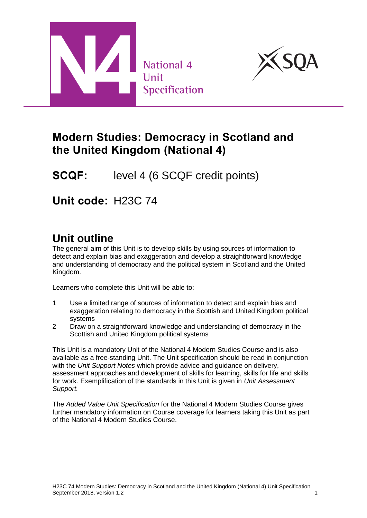



## **Modern Studies: Democracy in Scotland and the United Kingdom (National 4)**

**SCQF:** level 4 (6 SCQF credit points)

**Unit code:** H23C 74

# **Unit outline**

The general aim of this Unit is to develop skills by using sources of information to detect and explain bias and exaggeration and develop a straightforward knowledge and understanding of democracy and the political system in Scotland and the United Kingdom.

Learners who complete this Unit will be able to:

- 1 Use a limited range of sources of information to detect and explain bias and exaggeration relating to democracy in the Scottish and United Kingdom political systems
- 2 Draw on a straightforward knowledge and understanding of democracy in the Scottish and United Kingdom political systems

This Unit is a mandatory Unit of the National 4 Modern Studies Course and is also available as a free-standing Unit. The Unit specification should be read in conjunction with the *Unit Support Notes* which provide advice and guidance on delivery, assessment approaches and development of skills for learning, skills for life and skills for work. Exemplification of the standards in this Unit is given in *Unit Assessment Support.*

The *Added Value Unit Specification* for the National 4 Modern Studies Course gives further mandatory information on Course coverage for learners taking this Unit as part of the National 4 Modern Studies Course.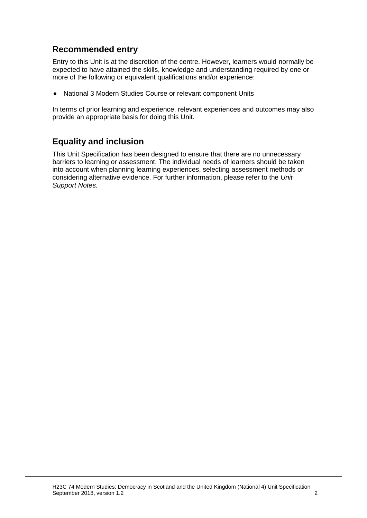#### **Recommended entry**

Entry to this Unit is at the discretion of the centre. However, learners would normally be expected to have attained the skills, knowledge and understanding required by one or more of the following or equivalent qualifications and/or experience:

National 3 Modern Studies Course or relevant component Units

In terms of prior learning and experience, relevant experiences and outcomes may also provide an appropriate basis for doing this Unit.

#### **Equality and inclusion**

This Unit Specification has been designed to ensure that there are no unnecessary barriers to learning or assessment. The individual needs of learners should be taken into account when planning learning experiences, selecting assessment methods or considering alternative evidence. For further information, please refer to the *Unit Support Notes.*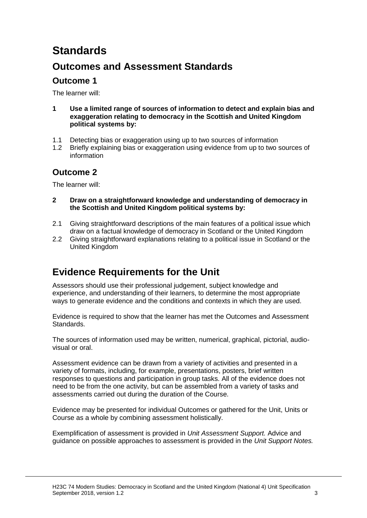# **Standards**

## **Outcomes and Assessment Standards**

### **Outcome 1**

The learner will:

- **1 Use a limited range of sources of information to detect and explain bias and exaggeration relating to democracy in the Scottish and United Kingdom political systems by:**
- 1.1 Detecting bias or exaggeration using up to two sources of information
- 1.2 Briefly explaining bias or exaggeration using evidence from up to two sources of information

### **Outcome 2**

The learner will:

- **2 Draw on a straightforward knowledge and understanding of democracy in the Scottish and United Kingdom political systems by:**
- 2.1 Giving straightforward descriptions of the main features of a political issue which draw on a factual knowledge of democracy in Scotland or the United Kingdom
- 2.2 Giving straightforward explanations relating to a political issue in Scotland or the United Kingdom

## **Evidence Requirements for the Unit**

Assessors should use their professional judgement, subject knowledge and experience, and understanding of their learners, to determine the most appropriate ways to generate evidence and the conditions and contexts in which they are used.

Evidence is required to show that the learner has met the Outcomes and Assessment Standards.

The sources of information used may be written, numerical, graphical, pictorial, audiovisual or oral.

Assessment evidence can be drawn from a variety of activities and presented in a variety of formats, including, for example, presentations, posters, brief written responses to questions and participation in group tasks. All of the evidence does not need to be from the one activity, but can be assembled from a variety of tasks and assessments carried out during the duration of the Course.

Evidence may be presented for individual Outcomes or gathered for the Unit, Units or Course as a whole by combining assessment holistically.

Exemplification of assessment is provided in *Unit Assessment Support.* Advice and guidance on possible approaches to assessment is provided in the *Unit Support Notes.*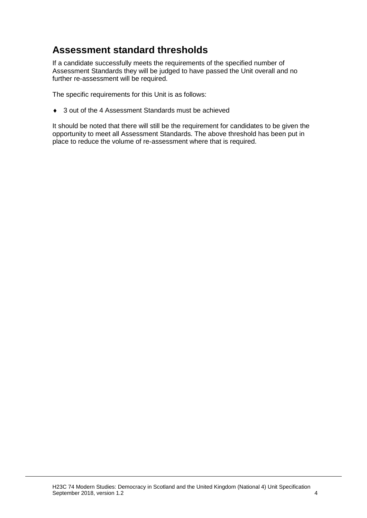## **Assessment standard thresholds**

If a candidate successfully meets the requirements of the specified number of Assessment Standards they will be judged to have passed the Unit overall and no further re-assessment will be required.

The specific requirements for this Unit is as follows:

◆ 3 out of the 4 Assessment Standards must be achieved

It should be noted that there will still be the requirement for candidates to be given the opportunity to meet all Assessment Standards. The above threshold has been put in place to reduce the volume of re-assessment where that is required.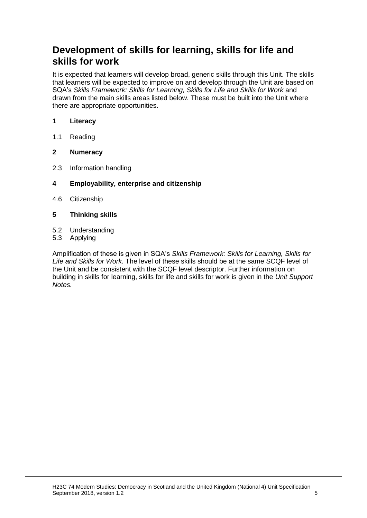## **Development of skills for learning, skills for life and skills for work**

It is expected that learners will develop broad, generic skills through this Unit. The skills that learners will be expected to improve on and develop through the Unit are based on SQA's *Skills Framework: Skills for Learning, Skills for Life and Skills for Work and* drawn from the main skills areas listed below. These must be built into the Unit where there are appropriate opportunities.

#### **1 Literacy**

1.1 Reading

#### **2 Numeracy**

- 2.3 Information handling
- **4 Employability, enterprise and citizenship**
- 4.6 Citizenship
- **5 Thinking skills**
- 5.2 Understanding
- 5.3 Applying

Amplification of these is given in SQA's *Skills Framework: Skills for Learning, Skills for Life and Skills for Work.* The level of these skills should be at the same SCQF level of the Unit and be consistent with the SCQF level descriptor. Further information on building in skills for learning, skills for life and skills for work is given in the *Unit Support Notes.*